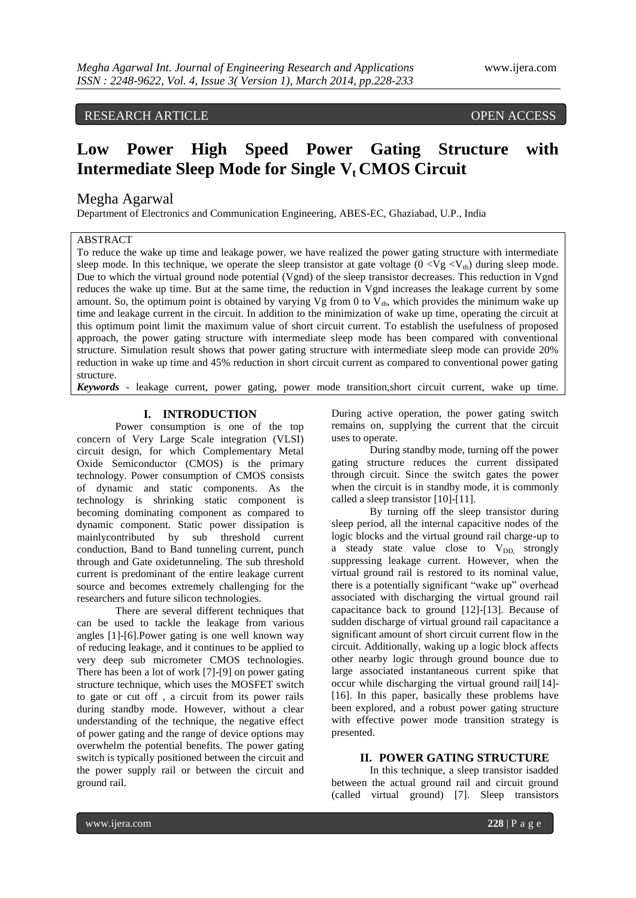# RESEARCH ARTICLE OPEN ACCESS

# **Low Power High Speed Power Gating Structure with Intermediate Sleep Mode for Single Vt CMOS Circuit**

# Megha Agarwal

Department of Electronics and Communication Engineering, ABES-EC, Ghaziabad, U.P., India

# **ABSTRACT**

To reduce the wake up time and leakage power, we have realized the power gating structure with intermediate sleep mode. In this technique, we operate the sleep transistor at gate voltage  $(0 < Vg < V<sub>th</sub>)$  during sleep mode. Due to which the virtual ground node potential (Vgnd) of the sleep transistor decreases. This reduction in Vgnd reduces the wake up time. But at the same time, the reduction in Vgnd increases the leakage current by some amount. So, the optimum point is obtained by varying Vg from 0 to  $V_{th}$ , which provides the minimum wake up time and leakage current in the circuit. In addition to the minimization of wake up time, operating the circuit at this optimum point limit the maximum value of short circuit current. To establish the usefulness of proposed approach, the power gating structure with intermediate sleep mode has been compared with conventional structure. Simulation result shows that power gating structure with intermediate sleep mode can provide 20% reduction in wake up time and 45% reduction in short circuit current as compared to conventional power gating structure.

*Keywords* - leakage current, power gating, power mode transition,short circuit current, wake up time.

# **I. INTRODUCTION**

Power consumption is one of the top concern of Very Large Scale integration (VLSI) circuit design, for which Complementary Metal Oxide Semiconductor (CMOS) is the primary technology. Power consumption of CMOS consists of dynamic and static components. As the technology is shrinking static component is becoming dominating component as compared to dynamic component. Static power dissipation is mainlycontributed by sub threshold current conduction, Band to Band tunneling current, punch through and Gate oxidetunneling. The sub threshold current is predominant of the entire leakage current source and becomes extremely challenging for the researchers and future silicon technologies.

There are several different techniques that can be used to tackle the leakage from various angles [1]-[6].Power gating is one well known way of reducing leakage, and it continues to be applied to very deep sub micrometer CMOS technologies. There has been a lot of work [7]-[9] on power gating structure technique, which uses the MOSFET switch to gate or cut off , a circuit from its power rails during standby mode. However, without a clear understanding of the technique, the negative effect of power gating and the range of device options may overwhelm the potential benefits. The power gating switch is typically positioned between the circuit and the power supply rail or between the circuit and ground rail.

During active operation, the power gating switch remains on, supplying the current that the circuit uses to operate.

During standby mode, turning off the power gating structure reduces the current dissipated through circuit. Since the switch gates the power when the circuit is in standby mode, it is commonly called a sleep transistor [10]-[11].

By turning off the sleep transistor during sleep period, all the internal capacitive nodes of the logic blocks and the virtual ground rail charge-up to a steady state value close to  $V_{DD}$ , strongly suppressing leakage current. However, when the virtual ground rail is restored to its nominal value, there is a potentially significant "wake up" overhead associated with discharging the virtual ground rail capacitance back to ground [12]-[13]. Because of sudden discharge of virtual ground rail capacitance a significant amount of short circuit current flow in the circuit. Additionally, waking up a logic block affects other nearby logic through ground bounce due to large associated instantaneous current spike that occur while discharging the virtual ground rail[14]- [16]. In this paper, basically these problems have been explored, and a robust power gating structure with effective power mode transition strategy is presented.

### **II. POWER GATING STRUCTURE**

In this technique, a sleep transistor isadded between the actual ground rail and circuit ground (called virtual ground) [7]. Sleep transistors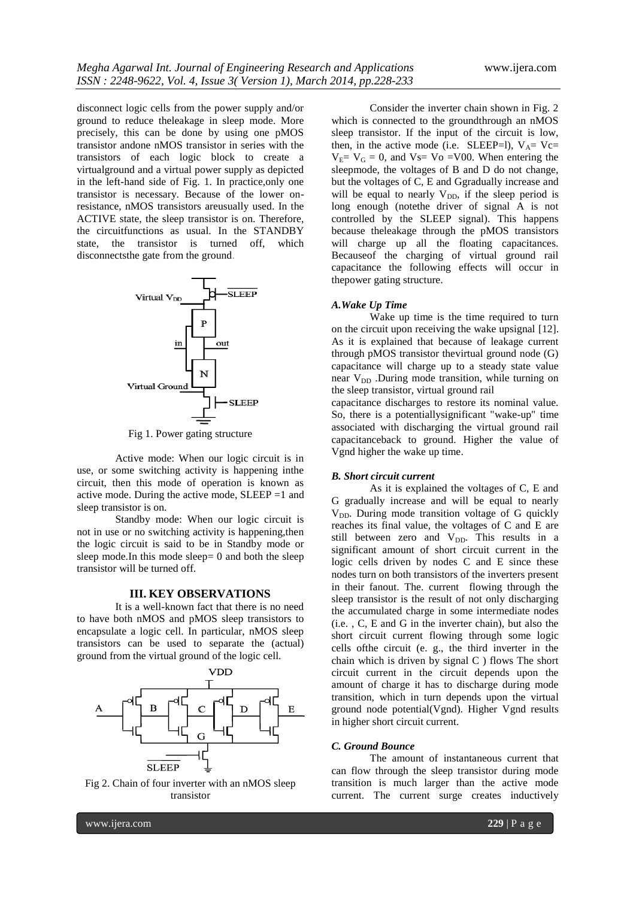disconnect logic cells from the power supply and/or ground to reduce theleakage in sleep mode. More precisely, this can be done by using one pMOS transistor andone nMOS transistor in series with the transistors of each logic block to create a virtualground and a virtual power supply as depicted in the left-hand side of Fig. 1. In practice,only one transistor is necessary. Because of the lower onresistance, nMOS transistors areusually used. In the ACTIVE state, the sleep transistor is on. Therefore, the circuitfunctions as usual. In the STANDBY state, the transistor is turned off, which disconnectsthe gate from the ground.



Fig 1. Power gating structure

Active mode: When our logic circuit is in use, or some switching activity is happening inthe circuit, then this mode of operation is known as active mode. During the active mode, SLEEP =1 and sleep transistor is on.

Standby mode: When our logic circuit is not in use or no switching activity is happening,then the logic circuit is said to be in Standby mode or sleep mode. In this mode sleep  $= 0$  and both the sleep transistor will be turned off.

### **III. KEY OBSERVATIONS**

It is a well-known fact that there is no need to have both nMOS and pMOS sleep transistors to encapsulate a logic cell. In particular, nMOS sleep transistors can be used to separate the (actual) ground from the virtual ground of the logic cell.



Fig 2. Chain of four inverter with an nMOS sleep transistor

Consider the inverter chain shown in Fig. 2 which is connected to the groundthrough an nMOS sleep transistor. If the input of the circuit is low, then, in the active mode (i.e. SLEEP=l),  $V_A$ = Vc=  $V_E= V_G = 0$ , and  $V_S= V_o = V_{00}$ . When entering the sleepmode, the voltages of B and D do not change, but the voltages of C, E and Ggradually increase and will be equal to nearly  $V_{DD}$ , if the sleep period is long enough (notethe driver of signal A is not controlled by the SLEEP signal). This happens because theleakage through the pMOS transistors will charge up all the floating capacitances. Becauseof the charging of virtual ground rail capacitance the following effects will occur in thepower gating structure.

#### *A.Wake Up Time*

Wake up time is the time required to turn on the circuit upon receiving the wake upsignal [12]. As it is explained that because of leakage current through pMOS transistor thevirtual ground node (G) capacitance will charge up to a steady state value near V<sub>DD</sub> .During mode transition, while turning on the sleep transistor, virtual ground rail

capacitance discharges to restore its nominal value. So, there is a potentiallysignificant "wake-up" time associated with discharging the virtual ground rail capacitanceback to ground. Higher the value of Vgnd higher the wake up time.

#### *B. Short circuit current*

As it is explained the voltages of C, E and G gradually increase and will be equal to nearly V<sub>DD</sub>. During mode transition voltage of G quickly reaches its final value, the voltages of C and E are still between zero and  $V_{DD}$ . This results in a significant amount of short circuit current in the logic cells driven by nodes C and E since these nodes turn on both transistors of the inverters present in their fanout. The. current flowing through the sleep transistor is the result of not only discharging the accumulated charge in some intermediate nodes (i.e. , C, E and G in the inverter chain), but also the short circuit current flowing through some logic cells ofthe circuit (e. g., the third inverter in the chain which is driven by signal C ) flows The short circuit current in the circuit depends upon the amount of charge it has to discharge during mode transition, which in turn depends upon the virtual ground node potential(Vgnd). Higher Vgnd results in higher short circuit current.

### *C. Ground Bounce*

The amount of instantaneous current that can flow through the sleep transistor during mode transition is much larger than the active mode current. The current surge creates inductively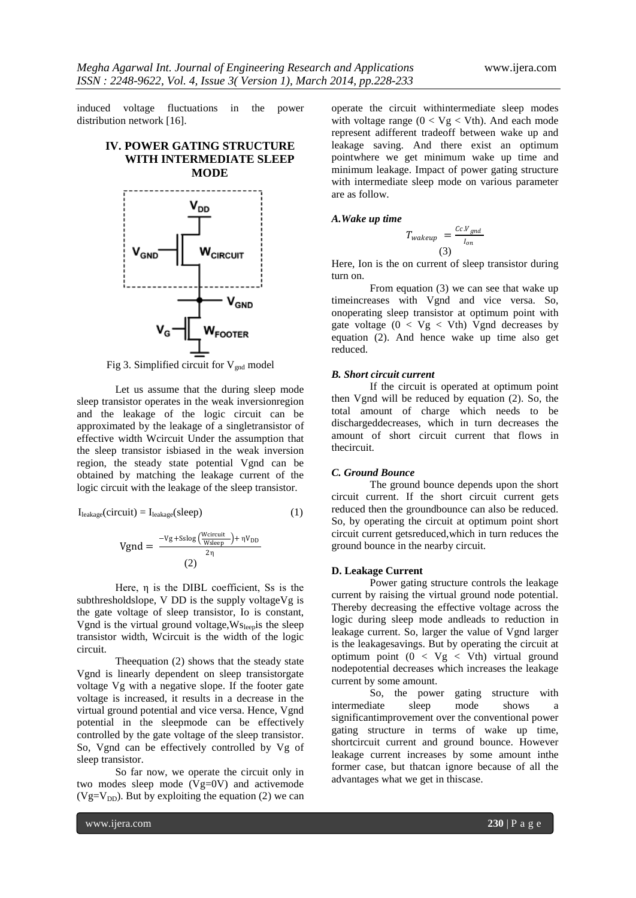induced voltage fluctuations in the power distribution network [16].

# **IV. POWER GATING STRUCTURE WITH INTERMEDIATE SLEEP MODE**



Fig 3. Simplified circuit for  $V_{\text{gnd}}$  model

Let us assume that the during sleep mode sleep transistor operates in the weak inversionregion and the leakage of the logic circuit can be approximated by the leakage of a singletransistor of effective width Wcircuit Under the assumption that the sleep transistor isbiased in the weak inversion region, the steady state potential Vgnd can be obtained by matching the leakage current of the logic circuit with the leakage of the sleep transistor.

$$
I_{\text{leakage}}(circuit) = I_{\text{leakage}}(sleep)
$$
 (1)

$$
Vgnd = \frac{-Vg + S\log\left(\frac{Wcircuit}{Wsleep}\right) + \eta V_{DD}}{2\eta}
$$
\n(2)

Here, η is the DIBL coefficient, Ss is the subthresholdslope, V DD is the supply voltageVg is the gate voltage of sleep transistor, Io is constant, Vgnd is the virtual ground voltage,Wsleepis the sleep transistor width, Wcircuit is the width of the logic circuit.

Theequation (2) shows that the steady state Vgnd is linearly dependent on sleep transistorgate voltage Vg with a negative slope. If the footer gate voltage is increased, it results in a decrease in the virtual ground potential and vice versa. Hence, Vgnd potential in the sleepmode can be effectively controlled by the gate voltage of the sleep transistor. So, Vgnd can be effectively controlled by Vg of sleep transistor.

So far now, we operate the circuit only in two modes sleep mode (Vg=0V) and activemode (Vg=V<sub>DD</sub>). But by exploiting the equation (2) we can

operate the circuit withintermediate sleep modes with voltage range  $(0 < Vg < Vth)$ . And each mode represent adifferent tradeoff between wake up and leakage saving. And there exist an optimum pointwhere we get minimum wake up time and minimum leakage. Impact of power gating structure with intermediate sleep mode on various parameter are as follow.

### *A.Wake up time*

$$
T_{\text{wakeup}} = \frac{c c.V_{\text{gnd}}}{I_{\text{on}}}
$$
  
(3)

Here, Ion is the on current of sleep transistor during turn on.

From equation (3) we can see that wake up timeincreases with Vgnd and vice versa. So, onoperating sleep transistor at optimum point with gate voltage  $(0 < Vg < Vth)$  Vgnd decreases by equation (2). And hence wake up time also get reduced.

#### *B. Short circuit current*

If the circuit is operated at optimum point then Vgnd will be reduced by equation (2). So, the total amount of charge which needs to be dischargeddecreases, which in turn decreases the amount of short circuit current that flows in thecircuit.

#### *C. Ground Bounce*

The ground bounce depends upon the short circuit current. If the short circuit current gets reduced then the groundbounce can also be reduced. So, by operating the circuit at optimum point short circuit current getsreduced,which in turn reduces the ground bounce in the nearby circuit.

#### **D. Leakage Current**

Power gating structure controls the leakage current by raising the virtual ground node potential. Thereby decreasing the effective voltage across the logic during sleep mode andleads to reduction in leakage current. So, larger the value of Vgnd larger is the leakagesavings. But by operating the circuit at optimum point (0 < Vg < Vth) virtual ground nodepotential decreases which increases the leakage current by some amount.

So, the power gating structure with intermediate sleep mode shows a significantimprovement over the conventional power gating structure in terms of wake up time, shortcircuit current and ground bounce. However leakage current increases by some amount inthe former case, but thatcan ignore because of all the advantages what we get in thiscase.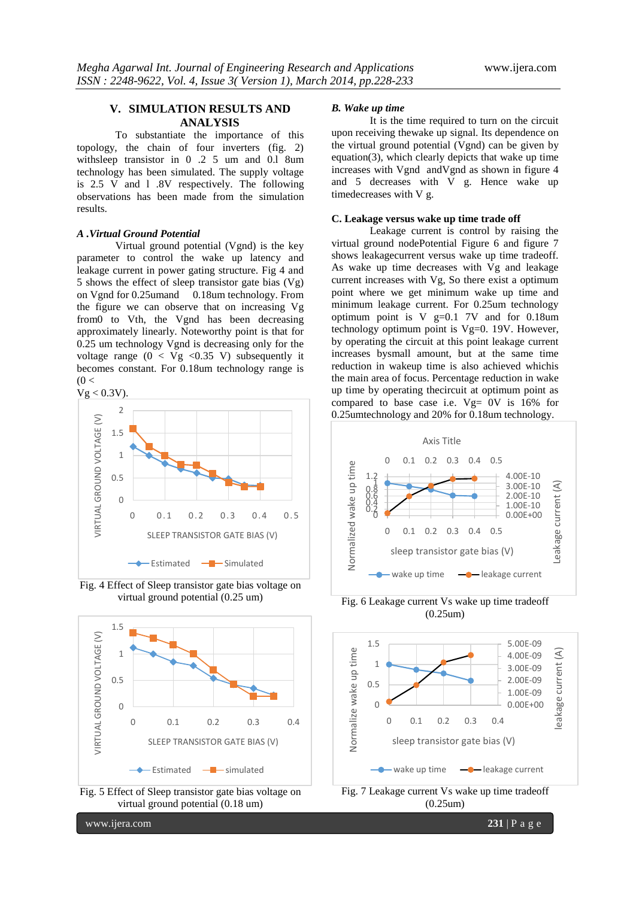# **V. SIMULATION RESULTS AND ANALYSIS**

To substantiate the importance of this topology, the chain of four inverters (fig. 2) withsleep transistor in 0 .2 5 um and 0.l 8um technology has been simulated. The supply voltage is 2.5 V and l .8V respectively. The following observations has been made from the simulation results.

### *A .Virtual Ground Potential*

Virtual ground potential (Vgnd) is the key parameter to control the wake up latency and leakage current in power gating structure. Fig 4 and 5 shows the effect of sleep transistor gate bias (Vg) on Vgnd for 0.25umand 0.18um technology. From the figure we can observe that on increasing Vg from0 to Vth, the Vgnd has been decreasing approximately linearly. Noteworthy point is that for 0.25 um technology Vgnd is decreasing only for the voltage range  $(0 < Vg < 0.35 V)$  subsequently it becomes constant. For 0.18um technology range is  $(0 <$ 



Fig. 4 Effect of Sleep transistor gate bias voltage on virtual ground potential (0.25 um)





www.ijera.com **231** | P a g e

# *B. Wake up time*

It is the time required to turn on the circuit upon receiving thewake up signal. Its dependence on the virtual ground potential (Vgnd) can be given by equation(3), which clearly depicts that wake up time increases with Vgnd andVgnd as shown in figure 4 and 5 decreases with V g. Hence wake up timedecreases with V g.

### **C. Leakage versus wake up time trade off**

Leakage current is control by raising the virtual ground nodePotential Figure 6 and figure 7 shows leakagecurrent versus wake up time tradeoff. As wake up time decreases with Vg and leakage current increases with Vg, So there exist a optimum point where we get minimum wake up time and minimum leakage current. For 0.25um technology optimum point is V g=0.1 7V and for 0.18um technology optimum point is Vg=0. 19V. However, by operating the circuit at this point leakage current increases bysmall amount, but at the same time reduction in wakeup time is also achieved whichis the main area of focus. Percentage reduction in wake up time by operating thecircuit at optimum point as compared to base case i.e.  $Vg= 0V$  is 16% for 0.25umtechnology and 20% for 0.18um technology.



Fig. 6 Leakage current Vs wake up time tradeoff (0.25um)



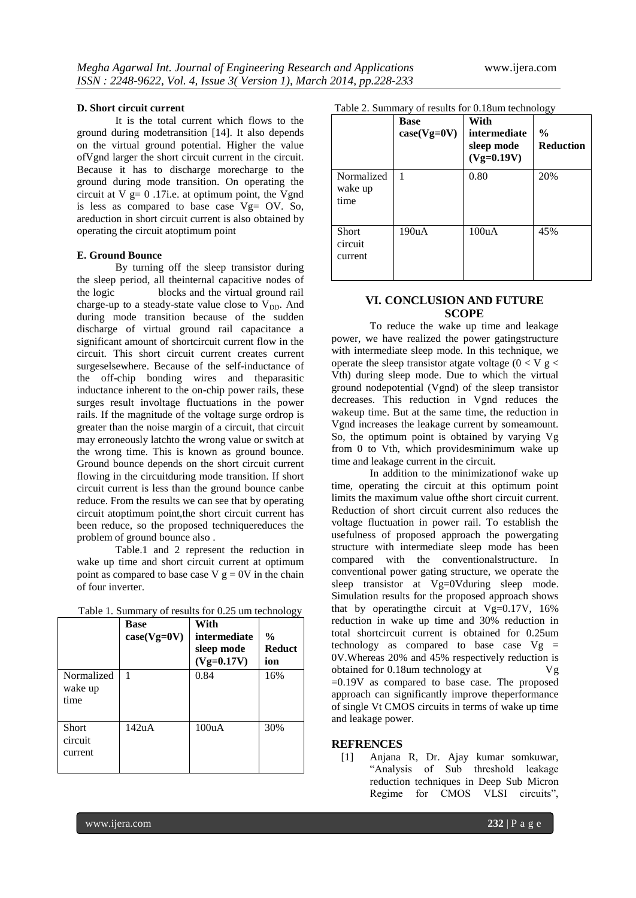#### **D. Short circuit current**

It is the total current which flows to the ground during modetransition [14]. It also depends on the virtual ground potential. Higher the value ofVgnd larger the short circuit current in the circuit. Because it has to discharge morecharge to the ground during mode transition. On operating the circuit at  $V = 0$ .17i.e. at optimum point, the Vgnd is less as compared to base case  $Vg = OV. So,$ areduction in short circuit current is also obtained by operating the circuit atoptimum point

### **E. Ground Bounce**

By turning off the sleep transistor during the sleep period, all theinternal capacitive nodes of the logic blocks and the virtual ground rail charge-up to a steady-state value close to  $V_{DD}$ . And during mode transition because of the sudden discharge of virtual ground rail capacitance a significant amount of shortcircuit current flow in the circuit. This short circuit current creates current surgeselsewhere. Because of the self-inductance of the off-chip bonding wires and theparasitic inductance inherent to the on-chip power rails, these surges result involtage fluctuations in the power rails. If the magnitude of the voltage surge ordrop is greater than the noise margin of a circuit, that circuit may erroneously latchto the wrong value or switch at the wrong time. This is known as ground bounce. Ground bounce depends on the short circuit current flowing in the circuitduring mode transition. If short circuit current is less than the ground bounce canbe reduce. From the results we can see that by operating circuit atoptimum point,the short circuit current has been reduce, so the proposed techniquereduces the problem of ground bounce also .

Table.1 and 2 represent the reduction in wake up time and short circuit current at optimum point as compared to base case  $V g = 0V$  in the chain of four inverter.

|                               | <b>Base</b><br>$case(Vg=0V)$ | With<br>intermediate<br>sleep mode<br>$(Vg=0.17V)$ | $\frac{0}{0}$<br><b>Reduct</b><br>ion |
|-------------------------------|------------------------------|----------------------------------------------------|---------------------------------------|
| Normalized<br>wake up<br>time | 1                            | 0.84                                               | 16%                                   |
| Short<br>circuit<br>current   | 142uA                        | 100uA                                              | 30%                                   |

|  | Table 1. Summary of results for 0.25 um technology |  |
|--|----------------------------------------------------|--|
|--|----------------------------------------------------|--|

|  | Table 2. Summary of results for 0.18um technology |
|--|---------------------------------------------------|
|--|---------------------------------------------------|

|                               | <b>Base</b><br>$case(Vg=0V)$ | With<br>intermediate<br>sleep mode<br>$(Vg=0.19V)$ | ັັ<br>$\frac{0}{0}$<br><b>Reduction</b> |
|-------------------------------|------------------------------|----------------------------------------------------|-----------------------------------------|
| Normalized<br>wake up<br>time | $\mathbf{1}$                 | 0.80                                               | 20%                                     |
| Short<br>circuit<br>current   | 190uA                        | 100uA                                              | 45%                                     |

## **VI. CONCLUSION AND FUTURE SCOPE**

To reduce the wake up time and leakage power, we have realized the power gatingstructure with intermediate sleep mode. In this technique, we operate the sleep transistor atgate voltage ( $0 < V$  g  $<$ Vth) during sleep mode. Due to which the virtual ground nodepotential (Vgnd) of the sleep transistor decreases. This reduction in Vgnd reduces the wakeup time. But at the same time, the reduction in Vgnd increases the leakage current by someamount. So, the optimum point is obtained by varying Vg from 0 to Vth, which providesminimum wake up time and leakage current in the circuit.

In addition to the minimizationof wake up time, operating the circuit at this optimum point limits the maximum value ofthe short circuit current. Reduction of short circuit current also reduces the voltage fluctuation in power rail. To establish the usefulness of proposed approach the powergating structure with intermediate sleep mode has been compared with the conventionalstructure. In conventional power gating structure, we operate the sleep transistor at Vg=0Vduring sleep mode. Simulation results for the proposed approach shows that by operating the circuit at  $Vg=0.17V$ , 16% reduction in wake up time and 30% reduction in total shortcircuit current is obtained for 0.25um technology as compared to base case Vg = 0V.Whereas 20% and 45% respectively reduction is obtained for 0.18um technology at Vg =0.19V as compared to base case. The proposed approach can significantly improve theperformance of single Vt CMOS circuits in terms of wake up time and leakage power.

### **REFRENCES**

[1] Anjana R, Dr. Ajay kumar somkuwar, "Analysis of Sub threshold leakage reduction techniques in Deep Sub Micron Regime for CMOS VLSI circuits",